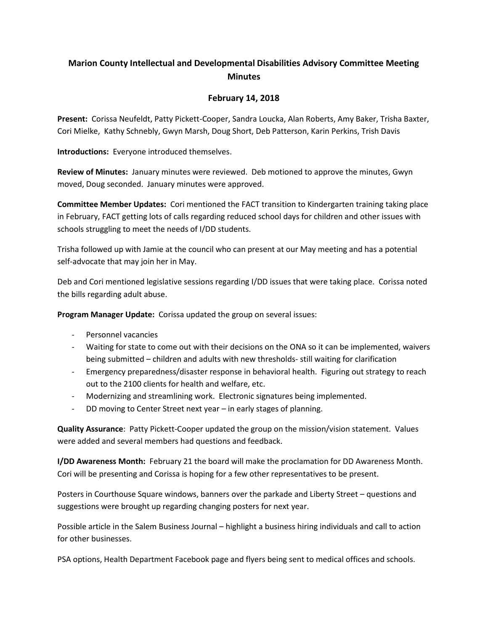## **Marion County Intellectual and Developmental Disabilities Advisory Committee Meeting Minutes**

## **February 14, 2018**

**Present:** Corissa Neufeldt, Patty Pickett-Cooper, Sandra Loucka, Alan Roberts, Amy Baker, Trisha Baxter, Cori Mielke, Kathy Schnebly, Gwyn Marsh, Doug Short, Deb Patterson, Karin Perkins, Trish Davis

**Introductions:** Everyone introduced themselves.

**Review of Minutes:** January minutes were reviewed. Deb motioned to approve the minutes, Gwyn moved, Doug seconded. January minutes were approved.

**Committee Member Updates:** Cori mentioned the FACT transition to Kindergarten training taking place in February, FACT getting lots of calls regarding reduced school days for children and other issues with schools struggling to meet the needs of I/DD students.

Trisha followed up with Jamie at the council who can present at our May meeting and has a potential self-advocate that may join her in May.

Deb and Cori mentioned legislative sessions regarding I/DD issues that were taking place. Corissa noted the bills regarding adult abuse.

**Program Manager Update:** Corissa updated the group on several issues:

- Personnel vacancies
- Waiting for state to come out with their decisions on the ONA so it can be implemented, waivers being submitted – children and adults with new thresholds- still waiting for clarification
- Emergency preparedness/disaster response in behavioral health. Figuring out strategy to reach out to the 2100 clients for health and welfare, etc.
- Modernizing and streamlining work. Electronic signatures being implemented.
- DD moving to Center Street next year in early stages of planning.

**Quality Assurance**: Patty Pickett-Cooper updated the group on the mission/vision statement. Values were added and several members had questions and feedback.

**I/DD Awareness Month:** February 21 the board will make the proclamation for DD Awareness Month. Cori will be presenting and Corissa is hoping for a few other representatives to be present.

Posters in Courthouse Square windows, banners over the parkade and Liberty Street – questions and suggestions were brought up regarding changing posters for next year.

Possible article in the Salem Business Journal – highlight a business hiring individuals and call to action for other businesses.

PSA options, Health Department Facebook page and flyers being sent to medical offices and schools.